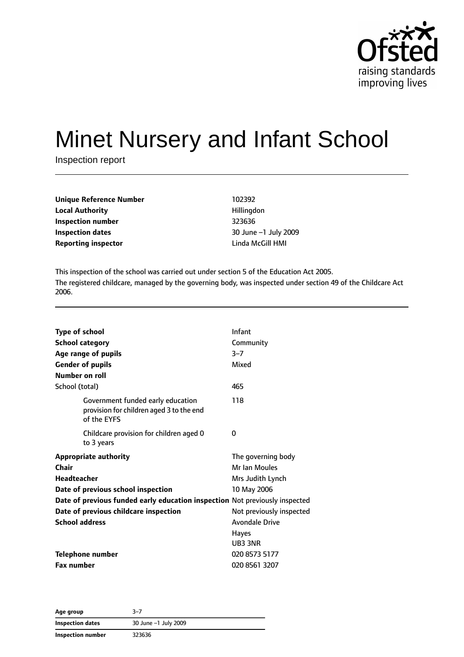

# Minet Nursery and Infant School

Inspection report

| <b>Unique Reference Number</b> | 102392            |  |
|--------------------------------|-------------------|--|
| <b>Local Authority</b>         | Hillingdon        |  |
| Inspection number              | 323636            |  |
| Inspection dates               | 30 June -1 July 2 |  |
| <b>Reporting inspector</b>     | Linda McGill HMI  |  |

**Local Authority** Hillingdon **Inspection number** 323636 **Inspection dates** 30 June –1 July 2009

This inspection of the school was carried out under section 5 of the Education Act 2005. The registered childcare, managed by the governing body, was inspected under section 49 of the Childcare Act 2006.

| <b>Type of school</b> |                                                                                              | Infant                   |
|-----------------------|----------------------------------------------------------------------------------------------|--------------------------|
|                       | <b>School category</b>                                                                       | Community                |
|                       | Age range of pupils                                                                          | $3 - 7$                  |
|                       | <b>Gender of pupils</b>                                                                      | Mixed                    |
|                       | Number on roll                                                                               |                          |
| School (total)        |                                                                                              | 465                      |
|                       | Government funded early education<br>provision for children aged 3 to the end<br>of the EYFS | 118                      |
|                       | Childcare provision for children aged 0<br>to 3 years                                        | 0                        |
|                       | <b>Appropriate authority</b>                                                                 | The governing body       |
| Chair                 |                                                                                              | Mr Ian Moules            |
| <b>Headteacher</b>    |                                                                                              | Mrs Judith Lynch         |
|                       | Date of previous school inspection                                                           | 10 May 2006              |
|                       | Date of previous funded early education inspection Not previously inspected                  |                          |
|                       | Date of previous childcare inspection                                                        | Not previously inspected |
|                       | <b>School address</b>                                                                        | <b>Avondale Drive</b>    |
|                       |                                                                                              | <b>Hayes</b>             |
|                       |                                                                                              | UB3 3NR                  |
|                       | <b>Telephone number</b>                                                                      | 020 8573 5177            |
| <b>Fax number</b>     |                                                                                              | 020 8561 3207            |

**Age group** 3–7 **Inspection dates** 30 June –1 July 2009 **Inspection number** 323636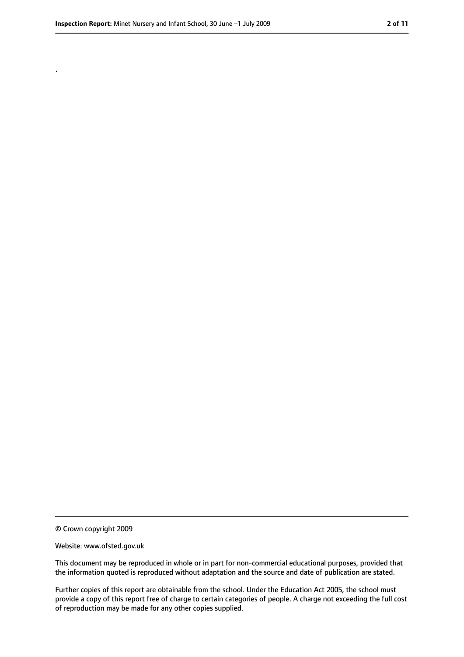.

<sup>©</sup> Crown copyright 2009

Website: www.ofsted.gov.uk

This document may be reproduced in whole or in part for non-commercial educational purposes, provided that the information quoted is reproduced without adaptation and the source and date of publication are stated.

Further copies of this report are obtainable from the school. Under the Education Act 2005, the school must provide a copy of this report free of charge to certain categories of people. A charge not exceeding the full cost of reproduction may be made for any other copies supplied.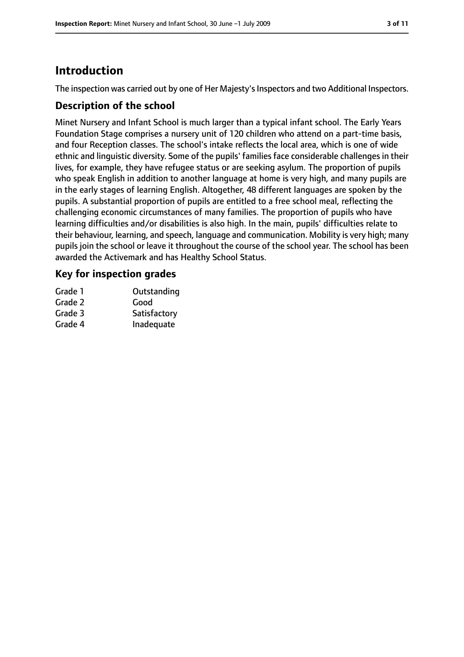# **Introduction**

The inspection was carried out by one of Her Majesty's Inspectors and two Additional Inspectors.

## **Description of the school**

Minet Nursery and Infant School is much larger than a typical infant school. The Early Years Foundation Stage comprises a nursery unit of 120 children who attend on a part-time basis, and four Reception classes. The school's intake reflects the local area, which is one of wide ethnic and linguistic diversity. Some of the pupils' families face considerable challenges in their lives, for example, they have refugee status or are seeking asylum. The proportion of pupils who speak English in addition to another language at home is very high, and many pupils are in the early stages of learning English. Altogether, 48 different languages are spoken by the pupils. A substantial proportion of pupils are entitled to a free school meal, reflecting the challenging economic circumstances of many families. The proportion of pupils who have learning difficulties and/or disabilities is also high. In the main, pupils' difficulties relate to their behaviour, learning, and speech, language and communication. Mobility is very high; many pupils join the school or leave it throughout the course of the school year. The school has been awarded the Activemark and has Healthy School Status.

## **Key for inspection grades**

| Grade 1 | Outstanding  |
|---------|--------------|
| Grade 2 | Good         |
| Grade 3 | Satisfactory |
| Grade 4 | Inadequate   |
|         |              |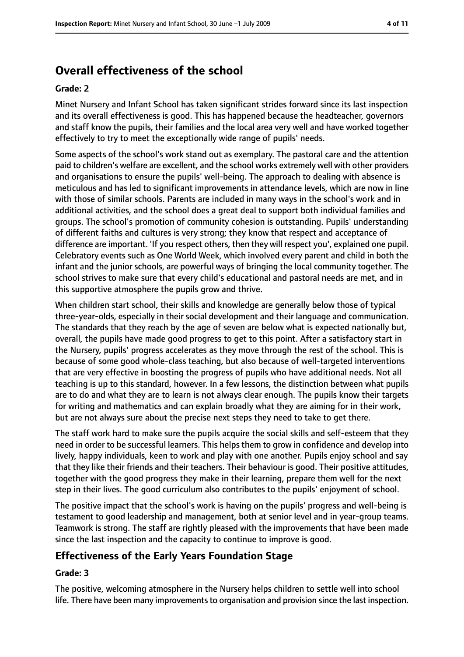# **Overall effectiveness of the school**

#### **Grade: 2**

Minet Nursery and Infant School has taken significant strides forward since its last inspection and its overall effectiveness is good. This has happened because the headteacher, governors and staff know the pupils, their families and the local area very well and have worked together effectively to try to meet the exceptionally wide range of pupils' needs.

Some aspects of the school's work stand out as exemplary. The pastoral care and the attention paid to children's welfare are excellent, and the school works extremely well with other providers and organisations to ensure the pupils' well-being. The approach to dealing with absence is meticulous and has led to significant improvements in attendance levels, which are now in line with those of similar schools. Parents are included in many ways in the school's work and in additional activities, and the school does a great deal to support both individual families and groups. The school's promotion of community cohesion is outstanding. Pupils' understanding of different faiths and cultures is very strong; they know that respect and acceptance of difference are important. 'If you respect others, then they will respect you', explained one pupil. Celebratory events such as One World Week, which involved every parent and child in both the infant and the junior schools, are powerful ways of bringing the local community together. The school strives to make sure that every child's educational and pastoral needs are met, and in this supportive atmosphere the pupils grow and thrive.

When children start school, their skills and knowledge are generally below those of typical three-year-olds, especially in their social development and their language and communication. The standards that they reach by the age of seven are below what is expected nationally but, overall, the pupils have made good progress to get to this point. After a satisfactory start in the Nursery, pupils' progress accelerates as they move through the rest of the school. This is because of some good whole-class teaching, but also because of well-targeted interventions that are very effective in boosting the progress of pupils who have additional needs. Not all teaching is up to this standard, however. In a few lessons, the distinction between what pupils are to do and what they are to learn is not always clear enough. The pupils know their targets for writing and mathematics and can explain broadly what they are aiming for in their work, but are not always sure about the precise next steps they need to take to get there.

The staff work hard to make sure the pupils acquire the social skills and self-esteem that they need in order to be successful learners. This helps them to grow in confidence and develop into lively, happy individuals, keen to work and play with one another. Pupils enjoy school and say that they like their friends and their teachers. Their behaviour is good. Their positive attitudes, together with the good progress they make in their learning, prepare them well for the next step in their lives. The good curriculum also contributes to the pupils' enjoyment of school.

The positive impact that the school's work is having on the pupils' progress and well-being is testament to good leadership and management, both at senior level and in year-group teams. Teamwork is strong. The staff are rightly pleased with the improvements that have been made since the last inspection and the capacity to continue to improve is good.

## **Effectiveness of the Early Years Foundation Stage**

#### **Grade: 3**

The positive, welcoming atmosphere in the Nursery helps children to settle well into school life. There have been many improvements to organisation and provision since the last inspection.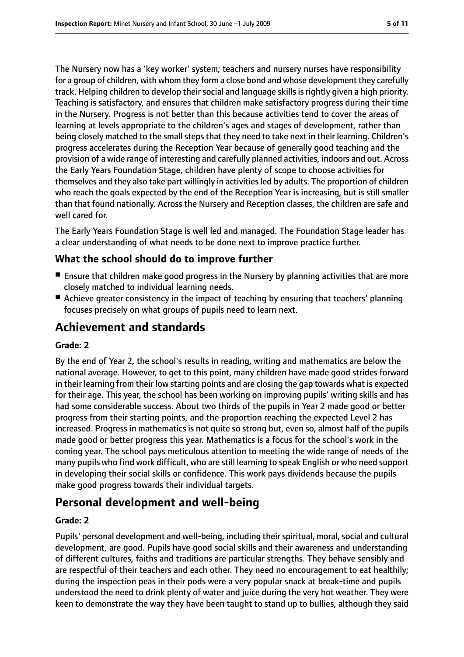The Nursery now has a 'key worker' system; teachers and nursery nurses have responsibility for a group of children, with whom they form a close bond and whose development they carefully track. Helping children to develop their social and language skills is rightly given a high priority. Teaching is satisfactory, and ensures that children make satisfactory progress during their time in the Nursery. Progress is not better than this because activities tend to cover the areas of learning at levels appropriate to the children's ages and stages of development, rather than being closely matched to the small steps that they need to take next in their learning. Children's progress accelerates during the Reception Year because of generally good teaching and the provision of a wide range of interesting and carefully planned activities, indoors and out. Across the Early Years Foundation Stage, children have plenty of scope to choose activities for themselves and they also take part willingly in activitiesled by adults. The proportion of children who reach the goals expected by the end of the Reception Year is increasing, but is still smaller than that found nationally. Across the Nursery and Reception classes, the children are safe and well cared for.

The Early Years Foundation Stage is well led and managed. The Foundation Stage leader has a clear understanding of what needs to be done next to improve practice further.

## **What the school should do to improve further**

- Ensure that children make good progress in the Nursery by planning activities that are more closely matched to individual learning needs.
- Achieve greater consistency in the impact of teaching by ensuring that teachers' planning focuses precisely on what groups of pupils need to learn next.

# **Achievement and standards**

#### **Grade: 2**

By the end of Year 2, the school's results in reading, writing and mathematics are below the national average. However, to get to this point, many children have made good strides forward in their learning from their low starting points and are closing the gap towards what is expected for their age. This year, the school has been working on improving pupils' writing skills and has had some considerable success. About two thirds of the pupils in Year 2 made good or better progress from their starting points, and the proportion reaching the expected Level 2 has increased. Progress in mathematics is not quite so strong but, even so, almost half of the pupils made good or better progress this year. Mathematics is a focus for the school's work in the coming year. The school pays meticulous attention to meeting the wide range of needs of the many pupils who find work difficult, who are still learning to speak English or who need support in developing their social skills or confidence. This work pays dividends because the pupils make good progress towards their individual targets.

# **Personal development and well-being**

#### **Grade: 2**

Pupils' personal development and well-being, including their spiritual, moral, social and cultural development, are good. Pupils have good social skills and their awareness and understanding of different cultures, faiths and traditions are particular strengths. They behave sensibly and are respectful of their teachers and each other. They need no encouragement to eat healthily; during the inspection peas in their pods were a very popular snack at break-time and pupils understood the need to drink plenty of water and juice during the very hot weather. They were keen to demonstrate the way they have been taught to stand up to bullies, although they said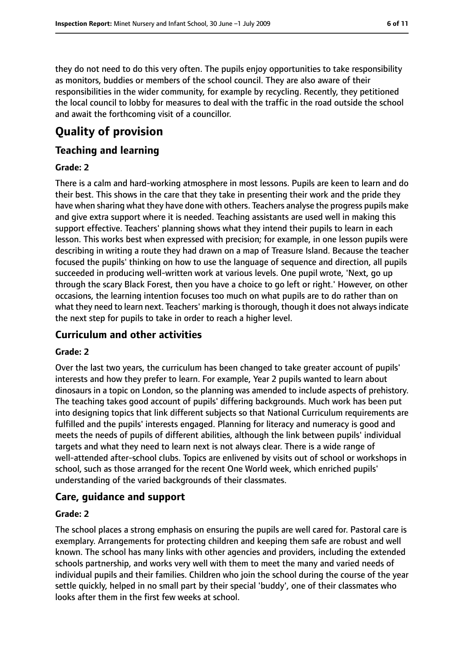they do not need to do this very often. The pupils enjoy opportunities to take responsibility as monitors, buddies or members of the school council. They are also aware of their responsibilities in the wider community, for example by recycling. Recently, they petitioned the local council to lobby for measures to deal with the traffic in the road outside the school and await the forthcoming visit of a councillor.

# **Quality of provision**

## **Teaching and learning**

#### **Grade: 2**

There is a calm and hard-working atmosphere in most lessons. Pupils are keen to learn and do their best. This shows in the care that they take in presenting their work and the pride they have when sharing what they have done with others. Teachers analyse the progress pupils make and give extra support where it is needed. Teaching assistants are used well in making this support effective. Teachers' planning shows what they intend their pupils to learn in each lesson. This works best when expressed with precision; for example, in one lesson pupils were describing in writing a route they had drawn on a map of Treasure Island. Because the teacher focused the pupils' thinking on how to use the language of sequence and direction, all pupils succeeded in producing well-written work at various levels. One pupil wrote, 'Next, go up through the scary Black Forest, then you have a choice to go left or right.' However, on other occasions, the learning intention focuses too much on what pupils are to do rather than on what they need to learn next. Teachers' marking is thorough, though it does not always indicate the next step for pupils to take in order to reach a higher level.

#### **Curriculum and other activities**

#### **Grade: 2**

Over the last two years, the curriculum has been changed to take greater account of pupils' interests and how they prefer to learn. For example, Year 2 pupils wanted to learn about dinosaurs in a topic on London, so the planning was amended to include aspects of prehistory. The teaching takes good account of pupils' differing backgrounds. Much work has been put into designing topics that link different subjects so that National Curriculum requirements are fulfilled and the pupils' interests engaged. Planning for literacy and numeracy is good and meets the needs of pupils of different abilities, although the link between pupils' individual targets and what they need to learn next is not always clear. There is a wide range of well-attended after-school clubs. Topics are enlivened by visits out of school or workshops in school, such as those arranged for the recent One World week, which enriched pupils' understanding of the varied backgrounds of their classmates.

#### **Care, guidance and support**

#### **Grade: 2**

The school places a strong emphasis on ensuring the pupils are well cared for. Pastoral care is exemplary. Arrangements for protecting children and keeping them safe are robust and well known. The school has many links with other agencies and providers, including the extended schools partnership, and works very well with them to meet the many and varied needs of individual pupils and their families. Children who join the school during the course of the year settle quickly, helped in no small part by their special 'buddy', one of their classmates who looks after them in the first few weeks at school.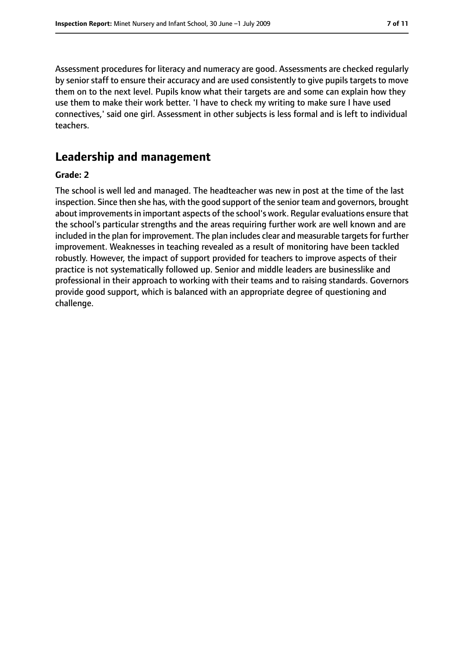Assessment procedures for literacy and numeracy are good. Assessments are checked regularly by senior staff to ensure their accuracy and are used consistently to give pupils targets to move them on to the next level. Pupils know what their targets are and some can explain how they use them to make their work better. 'I have to check my writing to make sure I have used connectives,' said one girl. Assessment in other subjects is less formal and is left to individual teachers.

# **Leadership and management**

#### **Grade: 2**

The school is well led and managed. The headteacher was new in post at the time of the last inspection. Since then she has, with the good support of the senior team and governors, brought about improvements in important aspects of the school's work. Regular evaluations ensure that the school's particular strengths and the areas requiring further work are well known and are included in the plan for improvement. The plan includes clear and measurable targets for further improvement. Weaknesses in teaching revealed as a result of monitoring have been tackled robustly. However, the impact of support provided for teachers to improve aspects of their practice is not systematically followed up. Senior and middle leaders are businesslike and professional in their approach to working with their teams and to raising standards. Governors provide good support, which is balanced with an appropriate degree of questioning and challenge.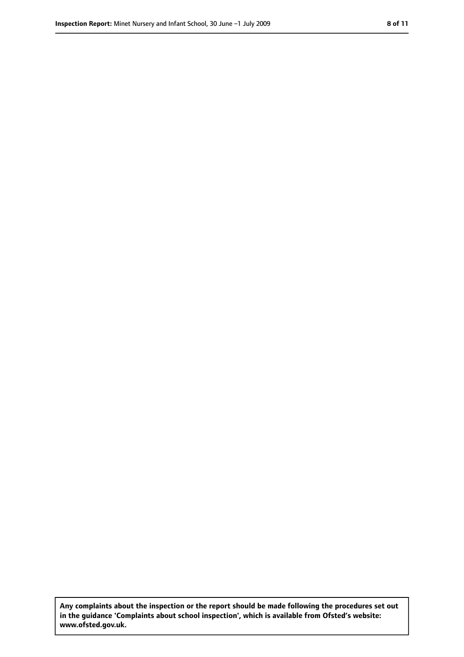**Any complaints about the inspection or the report should be made following the procedures set out in the guidance 'Complaints about school inspection', which is available from Ofsted's website: www.ofsted.gov.uk.**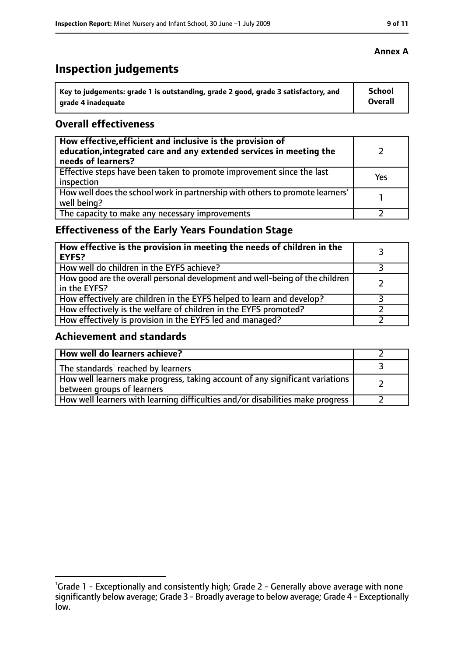# **Inspection judgements**

| Key to judgements: grade 1 is outstanding, grade 2 good, grade 3 satisfactory, and | <b>School</b>  |
|------------------------------------------------------------------------------------|----------------|
| arade 4 inadequate                                                                 | <b>Overall</b> |

## **Overall effectiveness**

| How effective, efficient and inclusive is the provision of<br>education, integrated care and any extended services in meeting the<br>needs of learners? |     |
|---------------------------------------------------------------------------------------------------------------------------------------------------------|-----|
| Effective steps have been taken to promote improvement since the last<br>inspection                                                                     | Yes |
| How well does the school work in partnership with others to promote learners'<br>well being?                                                            |     |
| The capacity to make any necessary improvements                                                                                                         |     |

# **Effectiveness of the Early Years Foundation Stage**

| How effective is the provision in meeting the needs of children in the<br><b>EYFS?</b>       |  |
|----------------------------------------------------------------------------------------------|--|
| How well do children in the EYFS achieve?                                                    |  |
| How good are the overall personal development and well-being of the children<br>in the EYFS? |  |
| How effectively are children in the EYFS helped to learn and develop?                        |  |
| How effectively is the welfare of children in the EYFS promoted?                             |  |
| How effectively is provision in the EYFS led and managed?                                    |  |

## **Achievement and standards**

| How well do learners achieve?                                                                               |  |
|-------------------------------------------------------------------------------------------------------------|--|
| The standards <sup>1</sup> reached by learners                                                              |  |
| How well learners make progress, taking account of any significant variations<br>between groups of learners |  |
| How well learners with learning difficulties and/or disabilities make progress                              |  |

<sup>&</sup>lt;sup>1</sup>Grade 1 - Exceptionally and consistently high; Grade 2 - Generally above average with none significantly below average; Grade 3 - Broadly average to below average; Grade 4 - Exceptionally low.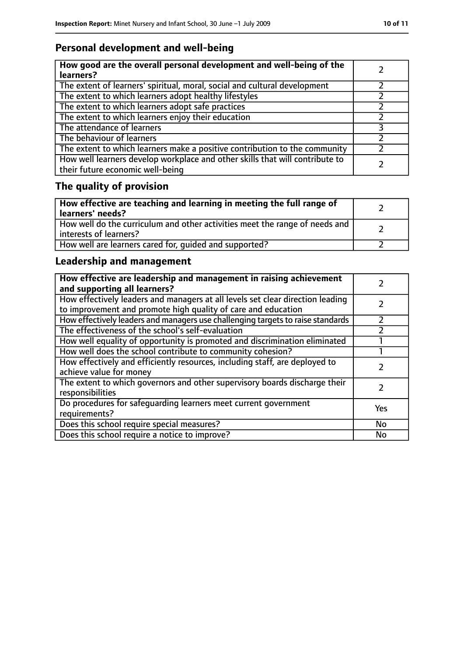# **Personal development and well-being**

| How good are the overall personal development and well-being of the<br>learners?                                 |  |
|------------------------------------------------------------------------------------------------------------------|--|
| The extent of learners' spiritual, moral, social and cultural development                                        |  |
| The extent to which learners adopt healthy lifestyles                                                            |  |
| The extent to which learners adopt safe practices                                                                |  |
| The extent to which learners enjoy their education                                                               |  |
| The attendance of learners                                                                                       |  |
| The behaviour of learners                                                                                        |  |
| The extent to which learners make a positive contribution to the community                                       |  |
| How well learners develop workplace and other skills that will contribute to<br>their future economic well-being |  |

# **The quality of provision**

| How effective are teaching and learning in meeting the full range of<br>learners' needs?              |  |
|-------------------------------------------------------------------------------------------------------|--|
| How well do the curriculum and other activities meet the range of needs and<br>interests of learners? |  |
| How well are learners cared for, quided and supported?                                                |  |

# **Leadership and management**

| How effective are leadership and management in raising achievement<br>and supporting all learners?                                              |     |
|-------------------------------------------------------------------------------------------------------------------------------------------------|-----|
| How effectively leaders and managers at all levels set clear direction leading<br>to improvement and promote high quality of care and education |     |
| How effectively leaders and managers use challenging targets to raise standards                                                                 |     |
| The effectiveness of the school's self-evaluation                                                                                               |     |
| How well equality of opportunity is promoted and discrimination eliminated                                                                      |     |
| How well does the school contribute to community cohesion?                                                                                      |     |
| How effectively and efficiently resources, including staff, are deployed to<br>achieve value for money                                          |     |
| The extent to which governors and other supervisory boards discharge their<br>responsibilities                                                  |     |
| Do procedures for safequarding learners meet current government<br>requirements?                                                                | Yes |
| Does this school require special measures?                                                                                                      | No  |
| Does this school require a notice to improve?                                                                                                   | No  |